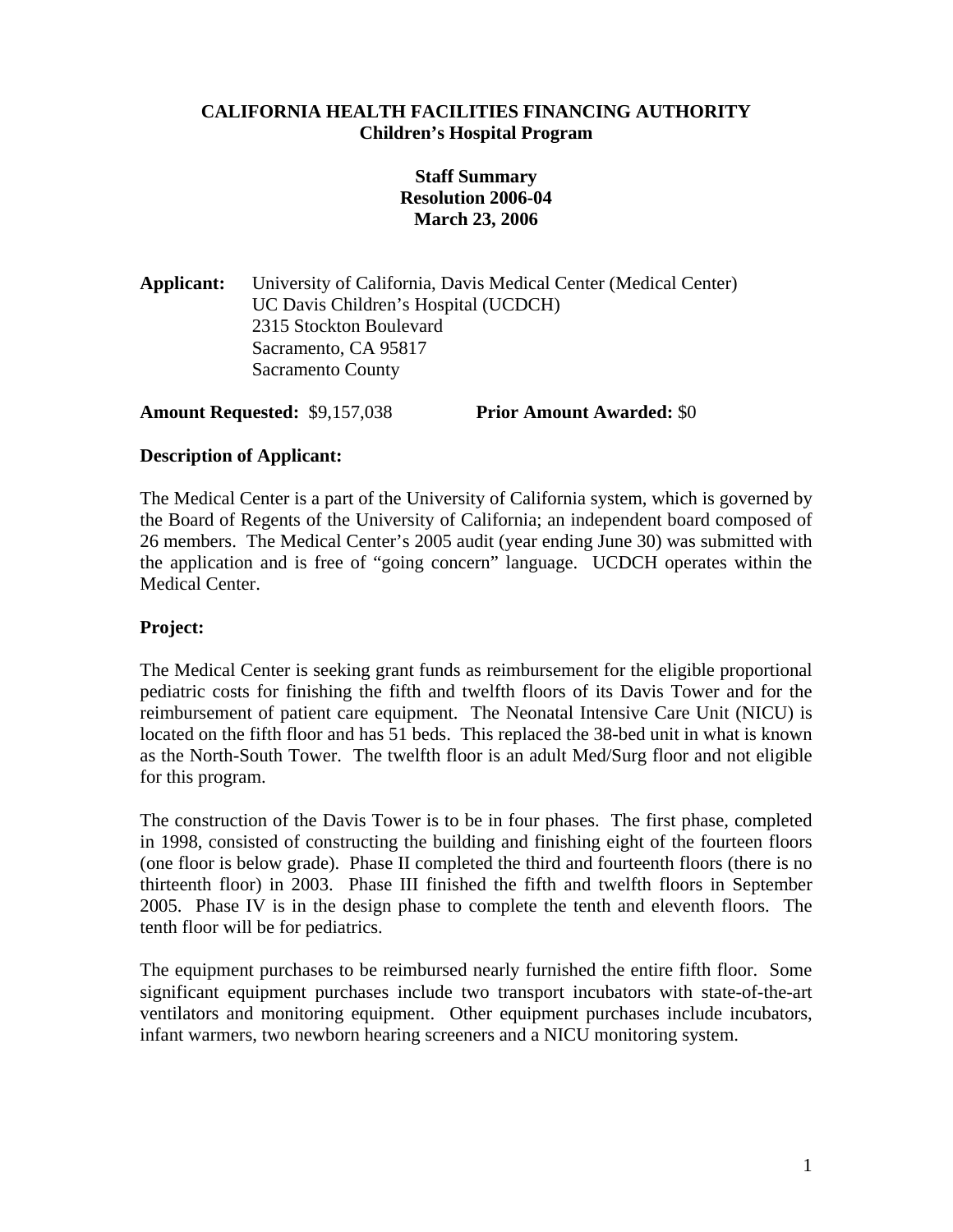## **CALIFORNIA HEALTH FACILITIES FINANCING AUTHORITY Children's Hospital Program**

# **Staff Summary Resolution 2006-04 March 23, 2006**

**Applicant:** University of California, Davis Medical Center (Medical Center) UC Davis Children's Hospital (UCDCH) 2315 Stockton Boulevard Sacramento, CA 95817 Sacramento County

**Amount Requested:** \$9,157,038 **Prior Amount Awarded:** \$0

# **Description of Applicant:**

The Medical Center is a part of the University of California system, which is governed by the Board of Regents of the University of California; an independent board composed of 26 members. The Medical Center's 2005 audit (year ending June 30) was submitted with the application and is free of "going concern" language. UCDCH operates within the Medical Center.

# **Project:**

The Medical Center is seeking grant funds as reimbursement for the eligible proportional pediatric costs for finishing the fifth and twelfth floors of its Davis Tower and for the reimbursement of patient care equipment. The Neonatal Intensive Care Unit (NICU) is located on the fifth floor and has 51 beds. This replaced the 38-bed unit in what is known as the North-South Tower. The twelfth floor is an adult Med/Surg floor and not eligible for this program.

The construction of the Davis Tower is to be in four phases. The first phase, completed in 1998, consisted of constructing the building and finishing eight of the fourteen floors (one floor is below grade). Phase II completed the third and fourteenth floors (there is no thirteenth floor) in 2003. Phase III finished the fifth and twelfth floors in September 2005. Phase IV is in the design phase to complete the tenth and eleventh floors. The tenth floor will be for pediatrics.

The equipment purchases to be reimbursed nearly furnished the entire fifth floor. Some significant equipment purchases include two transport incubators with state-of-the-art ventilators and monitoring equipment. Other equipment purchases include incubators, infant warmers, two newborn hearing screeners and a NICU monitoring system.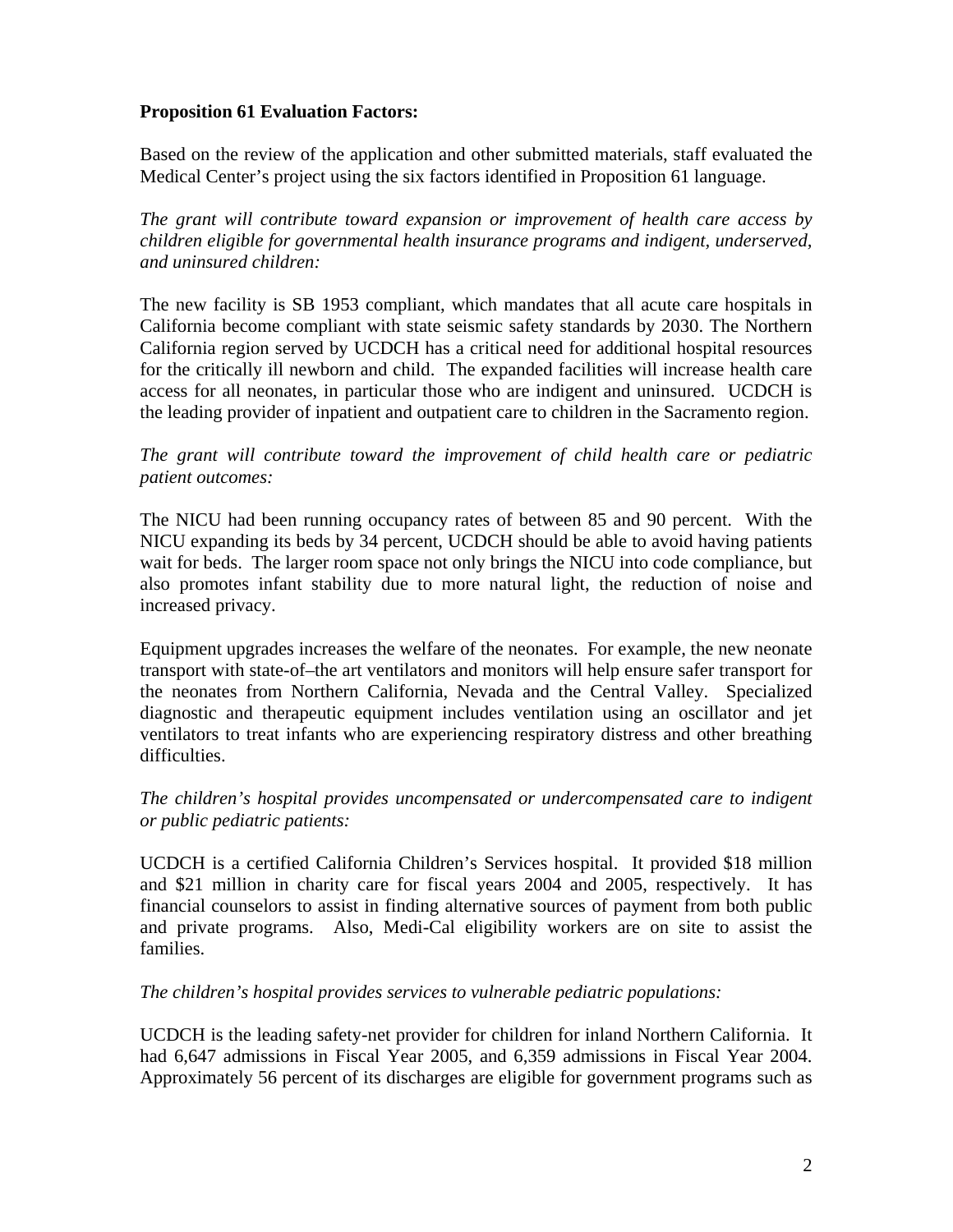## **Proposition 61 Evaluation Factors:**

Based on the review of the application and other submitted materials, staff evaluated the Medical Center's project using the six factors identified in Proposition 61 language.

*The grant will contribute toward expansion or improvement of health care access by children eligible for governmental health insurance programs and indigent, underserved, and uninsured children:* 

The new facility is SB 1953 compliant, which mandates that all acute care hospitals in California become compliant with state seismic safety standards by 2030. The Northern California region served by UCDCH has a critical need for additional hospital resources for the critically ill newborn and child. The expanded facilities will increase health care access for all neonates, in particular those who are indigent and uninsured. UCDCH is the leading provider of inpatient and outpatient care to children in the Sacramento region.

#### *The grant will contribute toward the improvement of child health care or pediatric patient outcomes:*

The NICU had been running occupancy rates of between 85 and 90 percent. With the NICU expanding its beds by 34 percent, UCDCH should be able to avoid having patients wait for beds. The larger room space not only brings the NICU into code compliance, but also promotes infant stability due to more natural light, the reduction of noise and increased privacy.

Equipment upgrades increases the welfare of the neonates. For example, the new neonate transport with state-of–the art ventilators and monitors will help ensure safer transport for the neonates from Northern California, Nevada and the Central Valley. Specialized diagnostic and therapeutic equipment includes ventilation using an oscillator and jet ventilators to treat infants who are experiencing respiratory distress and other breathing difficulties.

#### *The children's hospital provides uncompensated or undercompensated care to indigent or public pediatric patients:*

UCDCH is a certified California Children's Services hospital. It provided \$18 million and \$21 million in charity care for fiscal years 2004 and 2005, respectively. It has financial counselors to assist in finding alternative sources of payment from both public and private programs. Also, Medi-Cal eligibility workers are on site to assist the families.

## *The children's hospital provides services to vulnerable pediatric populations:*

UCDCH is the leading safety-net provider for children for inland Northern California. It had 6,647 admissions in Fiscal Year 2005, and 6,359 admissions in Fiscal Year 2004. Approximately 56 percent of its discharges are eligible for government programs such as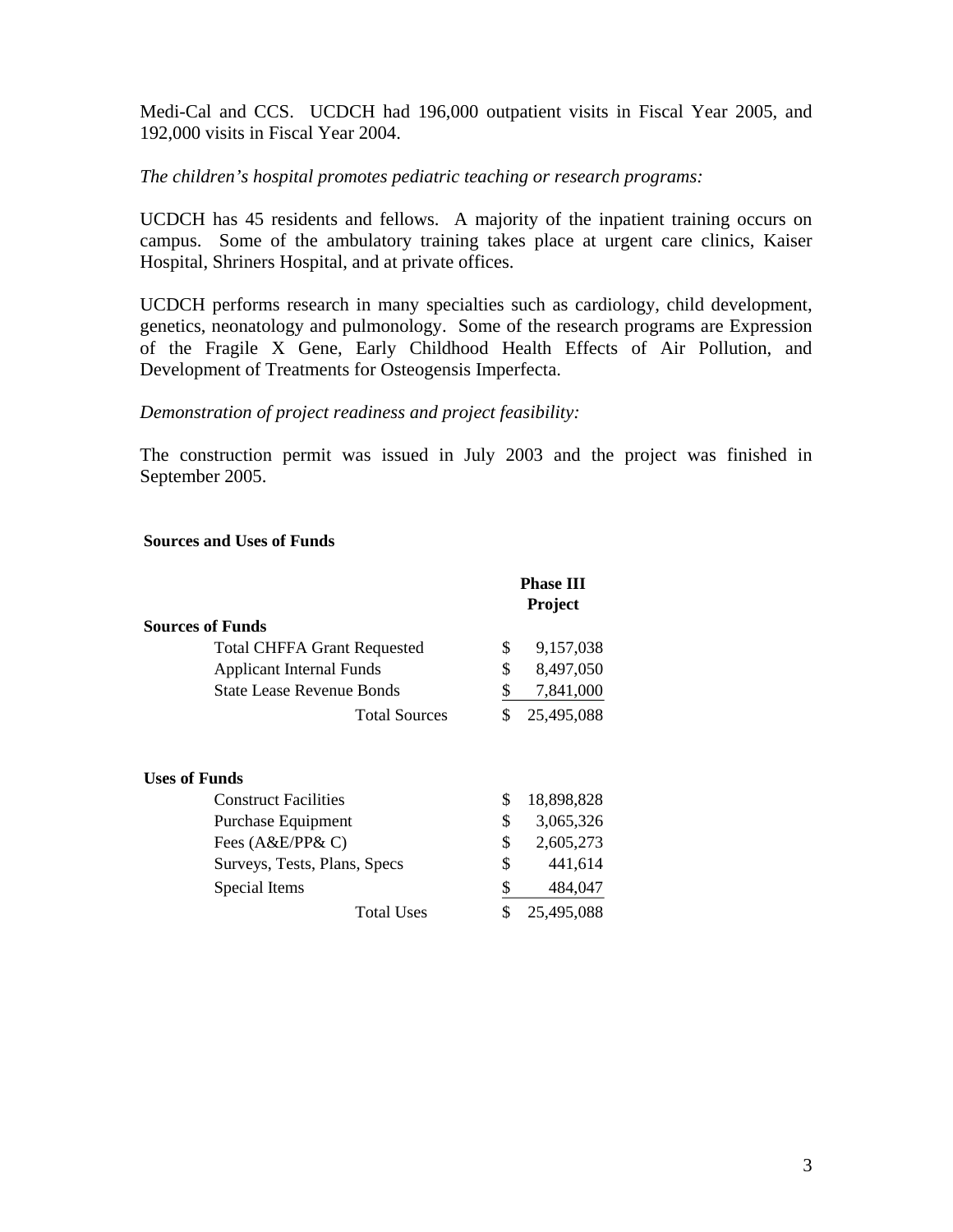Medi-Cal and CCS. UCDCH had 196,000 outpatient visits in Fiscal Year 2005, and 192,000 visits in Fiscal Year 2004.

#### *The children's hospital promotes pediatric teaching or research programs:*

UCDCH has 45 residents and fellows. A majority of the inpatient training occurs on campus. Some of the ambulatory training takes place at urgent care clinics, Kaiser Hospital, Shriners Hospital, and at private offices.

UCDCH performs research in many specialties such as cardiology, child development, genetics, neonatology and pulmonology. Some of the research programs are Expression of the Fragile X Gene, Early Childhood Health Effects of Air Pollution, and Development of Treatments for Osteogensis Imperfecta.

#### *Demonstration of project readiness and project feasibility:*

The construction permit was issued in July 2003 and the project was finished in September 2005.

#### **Sources and Uses of Funds**

|                                    | <b>Phase III</b> |                |
|------------------------------------|------------------|----------------|
|                                    |                  | <b>Project</b> |
| <b>Sources of Funds</b>            |                  |                |
| <b>Total CHFFA Grant Requested</b> | \$               | 9,157,038      |
| <b>Applicant Internal Funds</b>    | \$               | 8,497,050      |
| <b>State Lease Revenue Bonds</b>   | \$               | 7,841,000      |
| <b>Total Sources</b>               | \$               | 25,495,088     |
| <b>Uses of Funds</b>               |                  |                |
| <b>Construct Facilities</b>        | \$               | 18,898,828     |
| Purchase Equipment                 | \$               | 3,065,326      |
| Fees (A&E/PP& C)                   | \$               | 2,605,273      |
| Surveys, Tests, Plans, Specs       | \$               | 441,614        |
| Special Items                      | \$               | 484,047        |
| <b>Total Uses</b>                  | \$               | 25,495,088     |